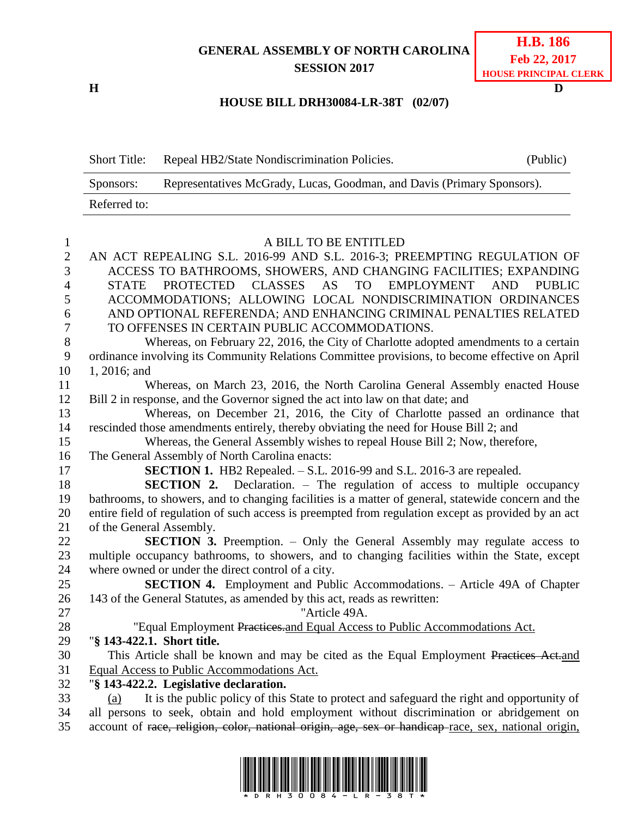## **GENERAL ASSEMBLY OF NORTH CAROLINA SESSION 2017**

**H D**

## **HOUSE BILL DRH30084-LR-38T (02/07)**

|                            | <b>Short Title:</b> | Repeal HB2/State Nondiscrimination Policies.                                                                        | (Public)                    |
|----------------------------|---------------------|---------------------------------------------------------------------------------------------------------------------|-----------------------------|
|                            | Sponsors:           | Representatives McGrady, Lucas, Goodman, and Davis (Primary Sponsors).                                              |                             |
|                            | Referred to:        |                                                                                                                     |                             |
|                            |                     | A BILL TO BE ENTITLED                                                                                               |                             |
| $\mathbf{1}$<br>$\sqrt{2}$ |                     | AN ACT REPEALING S.L. 2016-99 AND S.L. 2016-3; PREEMPTING REGULATION OF                                             |                             |
| 3                          |                     |                                                                                                                     |                             |
|                            | <b>STATE</b>        | ACCESS TO BATHROOMS, SHOWERS, AND CHANGING FACILITIES; EXPANDING<br>PROTECTED CLASSES AS<br><b>TO</b><br>EMPLOYMENT | <b>AND</b><br><b>PUBLIC</b> |
| 4<br>5                     |                     | ACCOMMODATIONS; ALLOWING LOCAL NONDISCRIMINATION ORDINANCES                                                         |                             |
|                            |                     | AND OPTIONAL REFERENDA; AND ENHANCING CRIMINAL PENALTIES RELATED                                                    |                             |
| 6<br>$\overline{7}$        |                     | TO OFFENSES IN CERTAIN PUBLIC ACCOMMODATIONS.                                                                       |                             |
| $8\,$                      |                     | Whereas, on February 22, 2016, the City of Charlotte adopted amendments to a certain                                |                             |
| 9                          |                     | ordinance involving its Community Relations Committee provisions, to become effective on April                      |                             |
| 10                         | 1, 2016; and        |                                                                                                                     |                             |
| 11                         |                     | Whereas, on March 23, 2016, the North Carolina General Assembly enacted House                                       |                             |
| 12                         |                     | Bill 2 in response, and the Governor signed the act into law on that date; and                                      |                             |
| 13                         |                     | Whereas, on December 21, 2016, the City of Charlotte passed an ordinance that                                       |                             |
| 14                         |                     | rescinded those amendments entirely, thereby obviating the need for House Bill 2; and                               |                             |
| 15                         |                     | Whereas, the General Assembly wishes to repeal House Bill 2; Now, therefore,                                        |                             |
| 16                         |                     | The General Assembly of North Carolina enacts:                                                                      |                             |
| 17                         |                     | <b>SECTION 1.</b> HB2 Repealed. - S.L. 2016-99 and S.L. 2016-3 are repealed.                                        |                             |
| 18                         |                     | <b>SECTION 2.</b> Declaration. - The regulation of access to multiple occupancy                                     |                             |
| 19                         |                     | bathrooms, to showers, and to changing facilities is a matter of general, statewide concern and the                 |                             |
| 20                         |                     | entire field of regulation of such access is preempted from regulation except as provided by an act                 |                             |
| 21                         |                     | of the General Assembly.                                                                                            |                             |
| 22                         |                     | <b>SECTION 3.</b> Preemption. - Only the General Assembly may regulate access to                                    |                             |
| 23                         |                     | multiple occupancy bathrooms, to showers, and to changing facilities within the State, except                       |                             |
| 24                         |                     | where owned or under the direct control of a city.                                                                  |                             |
| 25                         |                     | SECTION 4. Employment and Public Accommodations. - Article 49A of Chapter                                           |                             |
| 26                         |                     | 143 of the General Statutes, as amended by this act, reads as rewritten:                                            |                             |
| 27                         |                     | "Article 49A.                                                                                                       |                             |
| 28                         |                     | "Equal Employment Practices.and Equal Access to Public Accommodations Act.                                          |                             |
| 29                         |                     | "§ 143-422.1. Short title.                                                                                          |                             |
| 30                         |                     | This Article shall be known and may be cited as the Equal Employment Practices Act.and                              |                             |
| 31                         |                     | Equal Access to Public Accommodations Act.                                                                          |                             |
| 32                         |                     | "§ 143-422.2. Legislative declaration.                                                                              |                             |
| 33                         | (a)                 | It is the public policy of this State to protect and safeguard the right and opportunity of                         |                             |

 all persons to seek, obtain and hold employment without discrimination or abridgement on account of race, religion, color, national origin, age, sex or handicap race, sex, national origin,

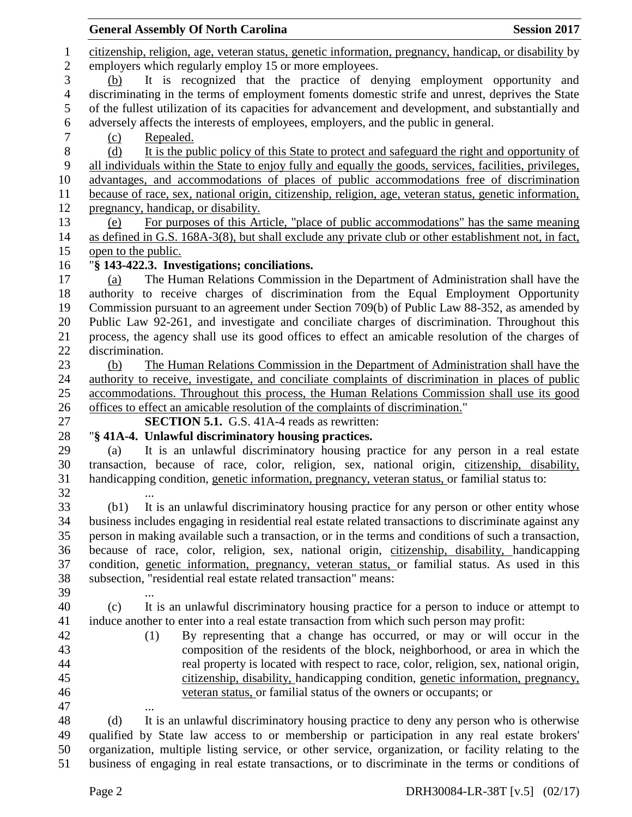|                  | <b>Session 2017</b><br><b>General Assembly Of North Carolina</b>                                         |
|------------------|----------------------------------------------------------------------------------------------------------|
| $\mathbf{1}$     | citizenship, religion, age, veteran status, genetic information, pregnancy, handicap, or disability by   |
| $\overline{c}$   | employers which regularly employ 15 or more employees.                                                   |
| 3                | It is recognized that the practice of denying employment opportunity and<br>(b)                          |
| $\overline{4}$   | discriminating in the terms of employment foments domestic strife and unrest, deprives the State         |
| 5                | of the fullest utilization of its capacities for advancement and development, and substantially and      |
| 6                | adversely affects the interests of employees, employers, and the public in general.                      |
| 7                | Repealed.<br>(c)                                                                                         |
| $8\,$            | (d)<br>It is the public policy of this State to protect and safeguard the right and opportunity of       |
| $\boldsymbol{9}$ | all individuals within the State to enjoy fully and equally the goods, services, facilities, privileges, |
| 10               | advantages, and accommodations of places of public accommodations free of discrimination                 |
| 11               | because of race, sex, national origin, citizenship, religion, age, veteran status, genetic information,  |
| 12               | pregnancy, handicap, or disability.                                                                      |
| 13               | For purposes of this Article, "place of public accommodations" has the same meaning<br>(e)               |
| 14               | as defined in G.S. 168A-3(8), but shall exclude any private club or other establishment not, in fact,    |
| 15               | open to the public.                                                                                      |
| 16               | "§ 143-422.3. Investigations; conciliations.                                                             |
| 17               | The Human Relations Commission in the Department of Administration shall have the<br>(a)                 |
| 18               | authority to receive charges of discrimination from the Equal Employment Opportunity                     |
| 19               | Commission pursuant to an agreement under Section 709(b) of Public Law 88-352, as amended by             |
| 20               | Public Law 92-261, and investigate and conciliate charges of discrimination. Throughout this             |
| 21               | process, the agency shall use its good offices to effect an amicable resolution of the charges of        |
| 22               | discrimination.                                                                                          |
| 23               | The Human Relations Commission in the Department of Administration shall have the<br>(b)                 |
| 24               | authority to receive, investigate, and conciliate complaints of discrimination in places of public       |
| 25               | accommodations. Throughout this process, the Human Relations Commission shall use its good               |
| 26               | offices to effect an amicable resolution of the complaints of discrimination."                           |
| 27               | <b>SECTION 5.1.</b> G.S. 41A-4 reads as rewritten:                                                       |
| 28               | "§ 41A-4. Unlawful discriminatory housing practices.                                                     |
| 29               | It is an unlawful discriminatory housing practice for any person in a real estate<br>(a)                 |
| 30<br>31         | transaction, because of race, color, religion, sex, national origin, citizenship, disability,            |
| 32               | handicapping condition, genetic information, pregnancy, veteran status, or familial status to:           |
| 33               | It is an unlawful discriminatory housing practice for any person or other entity whose<br>(b1)           |
| 34               | business includes engaging in residential real estate related transactions to discriminate against any   |
| 35               | person in making available such a transaction, or in the terms and conditions of such a transaction,     |
| 36               | because of race, color, religion, sex, national origin, citizenship, disability, handicapping            |
| 37               | condition, genetic information, pregnancy, veteran status, or familial status. As used in this           |
| 38               | subsection, "residential real estate related transaction" means:                                         |
| 39               |                                                                                                          |
| 40               | It is an unlawful discriminatory housing practice for a person to induce or attempt to<br>(c)            |
| 41               | induce another to enter into a real estate transaction from which such person may profit:                |
| 42               | By representing that a change has occurred, or may or will occur in the<br>(1)                           |
| 43               | composition of the residents of the block, neighborhood, or area in which the                            |
| 44               | real property is located with respect to race, color, religion, sex, national origin,                    |
| 45               | citizenship, disability, handicapping condition, genetic information, pregnancy,                         |
| 46               | veteran status, or familial status of the owners or occupants; or                                        |
| 47               |                                                                                                          |
| 48               | It is an unlawful discriminatory housing practice to deny any person who is otherwise<br>(d)             |
| 49               | qualified by State law access to or membership or participation in any real estate brokers'              |
| 50               | organization, multiple listing service, or other service, organization, or facility relating to the      |
| 51               | business of engaging in real estate transactions, or to discriminate in the terms or conditions of       |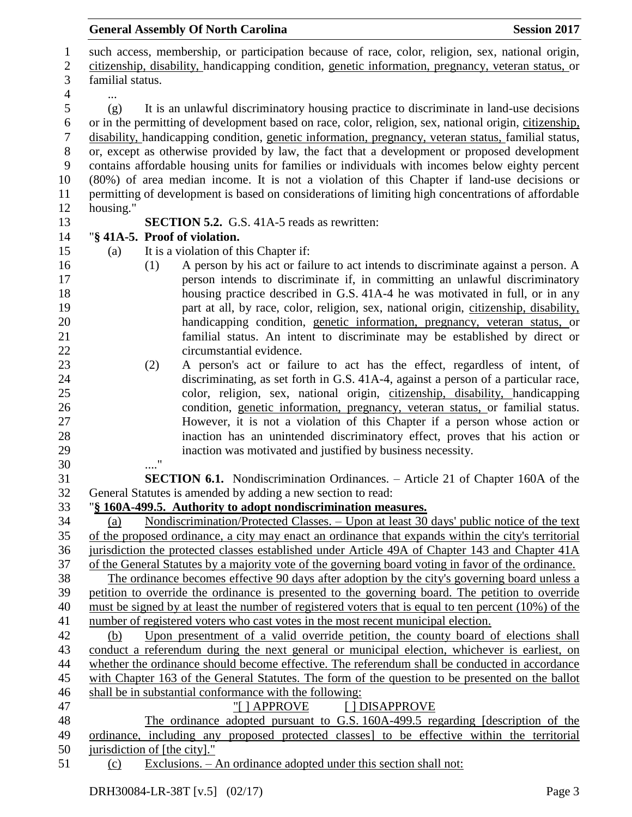|                                                                                                                                                                                                          |     | <b>General Assembly Of North Carolina</b>                                                                                                                                                              | <b>Session 2017</b> |
|----------------------------------------------------------------------------------------------------------------------------------------------------------------------------------------------------------|-----|--------------------------------------------------------------------------------------------------------------------------------------------------------------------------------------------------------|---------------------|
|                                                                                                                                                                                                          |     |                                                                                                                                                                                                        |                     |
| such access, membership, or participation because of race, color, religion, sex, national origin,<br>citizenship, disability, handicapping condition, genetic information, pregnancy, veteran status, or |     |                                                                                                                                                                                                        |                     |
| familial status.                                                                                                                                                                                         |     |                                                                                                                                                                                                        |                     |
|                                                                                                                                                                                                          |     |                                                                                                                                                                                                        |                     |
| (g)                                                                                                                                                                                                      |     | It is an unlawful discriminatory housing practice to discriminate in land-use decisions                                                                                                                |                     |
|                                                                                                                                                                                                          |     | or in the permitting of development based on race, color, religion, sex, national origin, citizenship,                                                                                                 |                     |
|                                                                                                                                                                                                          |     | disability, handicapping condition, genetic information, pregnancy, veteran status, familial status,                                                                                                   |                     |
|                                                                                                                                                                                                          |     | or, except as otherwise provided by law, the fact that a development or proposed development                                                                                                           |                     |
|                                                                                                                                                                                                          |     | contains affordable housing units for families or individuals with incomes below eighty percent                                                                                                        |                     |
|                                                                                                                                                                                                          |     | (80%) of area median income. It is not a violation of this Chapter if land-use decisions or                                                                                                            |                     |
|                                                                                                                                                                                                          |     | permitting of development is based on considerations of limiting high concentrations of affordable                                                                                                     |                     |
| housing."                                                                                                                                                                                                |     |                                                                                                                                                                                                        |                     |
|                                                                                                                                                                                                          |     | <b>SECTION 5.2.</b> G.S. 41A-5 reads as rewritten:                                                                                                                                                     |                     |
|                                                                                                                                                                                                          |     | "§ 41A-5. Proof of violation.                                                                                                                                                                          |                     |
| (a)                                                                                                                                                                                                      |     | It is a violation of this Chapter if:                                                                                                                                                                  |                     |
|                                                                                                                                                                                                          | (1) | A person by his act or failure to act intends to discriminate against a person. A                                                                                                                      |                     |
|                                                                                                                                                                                                          |     | person intends to discriminate if, in committing an unlawful discriminatory                                                                                                                            |                     |
|                                                                                                                                                                                                          |     | housing practice described in G.S. 41A-4 he was motivated in full, or in any                                                                                                                           |                     |
|                                                                                                                                                                                                          |     | part at all, by race, color, religion, sex, national origin, citizenship, disability,<br>handicapping condition, genetic information, pregnancy, veteran status, or                                    |                     |
|                                                                                                                                                                                                          |     | familial status. An intent to discriminate may be established by direct or                                                                                                                             |                     |
|                                                                                                                                                                                                          |     | circumstantial evidence.                                                                                                                                                                               |                     |
|                                                                                                                                                                                                          | (2) | A person's act or failure to act has the effect, regardless of intent, of                                                                                                                              |                     |
|                                                                                                                                                                                                          |     | discriminating, as set forth in G.S. 41A-4, against a person of a particular race,                                                                                                                     |                     |
|                                                                                                                                                                                                          |     | color, religion, sex, national origin, citizenship, disability, handicapping                                                                                                                           |                     |
|                                                                                                                                                                                                          |     | condition, genetic information, pregnancy, veteran status, or familial status.                                                                                                                         |                     |
|                                                                                                                                                                                                          |     | However, it is not a violation of this Chapter if a person whose action or                                                                                                                             |                     |
|                                                                                                                                                                                                          |     | inaction has an unintended discriminatory effect, proves that his action or                                                                                                                            |                     |
|                                                                                                                                                                                                          |     | inaction was motivated and justified by business necessity.                                                                                                                                            |                     |
|                                                                                                                                                                                                          |     |                                                                                                                                                                                                        |                     |
|                                                                                                                                                                                                          |     | <b>SECTION 6.1.</b> Nondiscrimination Ordinances. – Article 21 of Chapter 160A of the                                                                                                                  |                     |
|                                                                                                                                                                                                          |     | General Statutes is amended by adding a new section to read:                                                                                                                                           |                     |
|                                                                                                                                                                                                          |     | "§ 160A-499.5. Authority to adopt nondiscrimination measures.                                                                                                                                          |                     |
| (a)                                                                                                                                                                                                      |     | Nondiscrimination/Protected Classes. - Upon at least 30 days' public notice of the text                                                                                                                |                     |
|                                                                                                                                                                                                          |     | of the proposed ordinance, a city may enact an ordinance that expands within the city's territorial<br>jurisdiction the protected classes established under Article 49A of Chapter 143 and Chapter 41A |                     |
|                                                                                                                                                                                                          |     | of the General Statutes by a majority vote of the governing board voting in favor of the ordinance.                                                                                                    |                     |
|                                                                                                                                                                                                          |     | The ordinance becomes effective 90 days after adoption by the city's governing board unless a                                                                                                          |                     |
|                                                                                                                                                                                                          |     | petition to override the ordinance is presented to the governing board. The petition to override                                                                                                       |                     |
|                                                                                                                                                                                                          |     | must be signed by at least the number of registered voters that is equal to ten percent (10%) of the                                                                                                   |                     |
|                                                                                                                                                                                                          |     | number of registered voters who cast votes in the most recent municipal election.                                                                                                                      |                     |
| (b)                                                                                                                                                                                                      |     | Upon presentment of a valid override petition, the county board of elections shall                                                                                                                     |                     |
|                                                                                                                                                                                                          |     | conduct a referendum during the next general or municipal election, whichever is earliest, on                                                                                                          |                     |
|                                                                                                                                                                                                          |     | whether the ordinance should become effective. The referendum shall be conducted in accordance                                                                                                         |                     |
|                                                                                                                                                                                                          |     | with Chapter 163 of the General Statutes. The form of the question to be presented on the ballot                                                                                                       |                     |
|                                                                                                                                                                                                          |     | shall be in substantial conformance with the following:                                                                                                                                                |                     |
|                                                                                                                                                                                                          |     | "[ ] APPROVE<br>[ ] DISAPPROVE                                                                                                                                                                         |                     |
|                                                                                                                                                                                                          |     | The ordinance adopted pursuant to G.S. 160A-499.5 regarding [description of the                                                                                                                        |                     |
|                                                                                                                                                                                                          |     | ordinance, including any proposed protected classes) to be effective within the territorial                                                                                                            |                     |
| jurisdiction of [the city]."                                                                                                                                                                             |     |                                                                                                                                                                                                        |                     |
| (c)                                                                                                                                                                                                      |     | Exclusions. - An ordinance adopted under this section shall not:                                                                                                                                       |                     |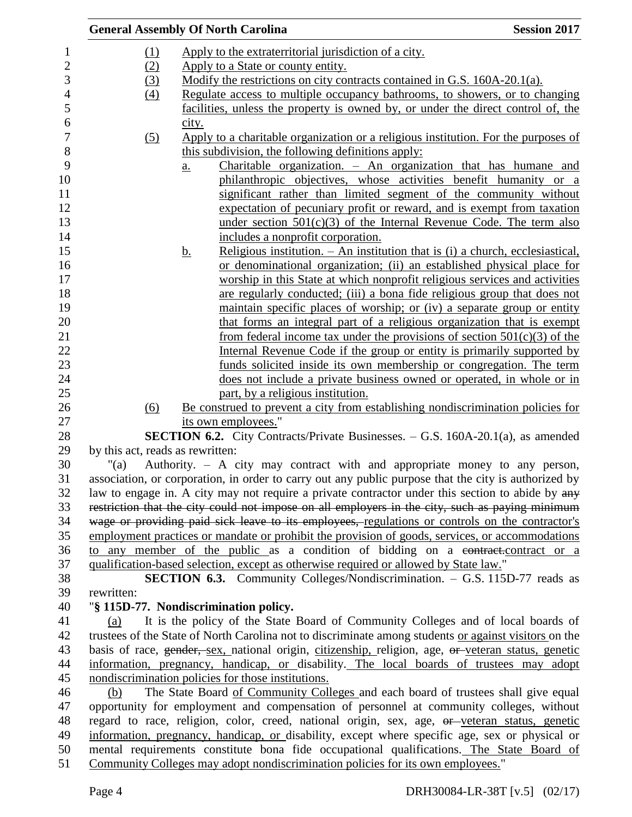|                                  | <b>General Assembly Of North Carolina</b>                                                             | <b>Session 2017</b> |
|----------------------------------|-------------------------------------------------------------------------------------------------------|---------------------|
| $\Omega$                         | Apply to the extraterritorial jurisdiction of a city.                                                 |                     |
| (2)                              | Apply to a State or county entity.                                                                    |                     |
| (3)                              | Modify the restrictions on city contracts contained in G.S. 160A-20.1(a).                             |                     |
| (4)                              | Regulate access to multiple occupancy bathrooms, to showers, or to changing                           |                     |
|                                  | facilities, unless the property is owned by, or under the direct control of, the                      |                     |
|                                  | city.                                                                                                 |                     |
| (5)                              | Apply to a charitable organization or a religious institution. For the purposes of                    |                     |
|                                  | this subdivision, the following definitions apply:                                                    |                     |
|                                  | Charitable organization. $-$ An organization that has humane and                                      |                     |
|                                  | <u>a.</u><br>philanthropic objectives, whose activities benefit humanity or a                         |                     |
|                                  | significant rather than limited segment of the community without                                      |                     |
|                                  | expectation of pecuniary profit or reward, and is exempt from taxation                                |                     |
|                                  | under section $501(c)(3)$ of the Internal Revenue Code. The term also                                 |                     |
|                                  | includes a nonprofit corporation.                                                                     |                     |
|                                  | Religious institution. $-$ An institution that is (i) a church, ecclesiastical,<br><u>b.</u>          |                     |
|                                  | or denominational organization; (ii) an established physical place for                                |                     |
|                                  | worship in this State at which nonprofit religious services and activities                            |                     |
|                                  | are regularly conducted; (iii) a bona fide religious group that does not                              |                     |
|                                  | maintain specific places of worship; or (iv) a separate group or entity                               |                     |
|                                  | that forms an integral part of a religious organization that is exempt                                |                     |
|                                  | from federal income tax under the provisions of section $501(c)(3)$ of the                            |                     |
|                                  | Internal Revenue Code if the group or entity is primarily supported by                                |                     |
|                                  | funds solicited inside its own membership or congregation. The term                                   |                     |
|                                  | does not include a private business owned or operated, in whole or in                                 |                     |
|                                  | part, by a religious institution.                                                                     |                     |
| (6)                              | Be construed to prevent a city from establishing nondiscrimination policies for                       |                     |
|                                  | its own employees."                                                                                   |                     |
|                                  | <b>SECTION 6.2.</b> City Contracts/Private Businesses. $-$ G.S. 160A-20.1(a), as amended              |                     |
| by this act, reads as rewritten: |                                                                                                       |                     |
| " $(a)$                          | Authority. $-$ A city may contract with and appropriate money to any person,                          |                     |
|                                  | association, or corporation, in order to carry out any public purpose that the city is authorized by  |                     |
|                                  | law to engage in. A city may not require a private contractor under this section to abide by any      |                     |
|                                  | restriction that the city could not impose on all employers in the city, such as paying minimum       |                     |
|                                  | wage or providing paid sick leave to its employees, regulations or controls on the contractor's       |                     |
|                                  | employment practices or mandate or prohibit the provision of goods, services, or accommodations       |                     |
|                                  | to any member of the public as a condition of bidding on a contract.contract or a                     |                     |
|                                  | qualification-based selection, except as otherwise required or allowed by State law."                 |                     |
|                                  | <b>SECTION 6.3.</b> Community Colleges/Nondiscrimination. – G.S. 115D-77 reads as                     |                     |
| rewritten:                       |                                                                                                       |                     |
|                                  | "§ 115D-77. Nondiscrimination policy.                                                                 |                     |
| (a)                              | It is the policy of the State Board of Community Colleges and of local boards of                      |                     |
|                                  | trustees of the State of North Carolina not to discriminate among students or against visitors on the |                     |
|                                  | basis of race, gender, sex, national origin, citizenship, religion, age, or veteran status, genetic   |                     |
|                                  | information, pregnancy, handicap, or disability. The local boards of trustees may adopt               |                     |
|                                  | nondiscrimination policies for those institutions.                                                    |                     |
| (b)                              | The State Board of Community Colleges and each board of trustees shall give equal                     |                     |
|                                  | opportunity for employment and compensation of personnel at community colleges, without               |                     |
|                                  | regard to race, religion, color, creed, national origin, sex, age, or veteran status, genetic         |                     |
|                                  | information, pregnancy, handicap, or disability, except where specific age, sex or physical or        |                     |
|                                  | mental requirements constitute bona fide occupational qualifications. The State Board of              |                     |
|                                  | Community Colleges may adopt nondiscrimination policies for its own employees."                       |                     |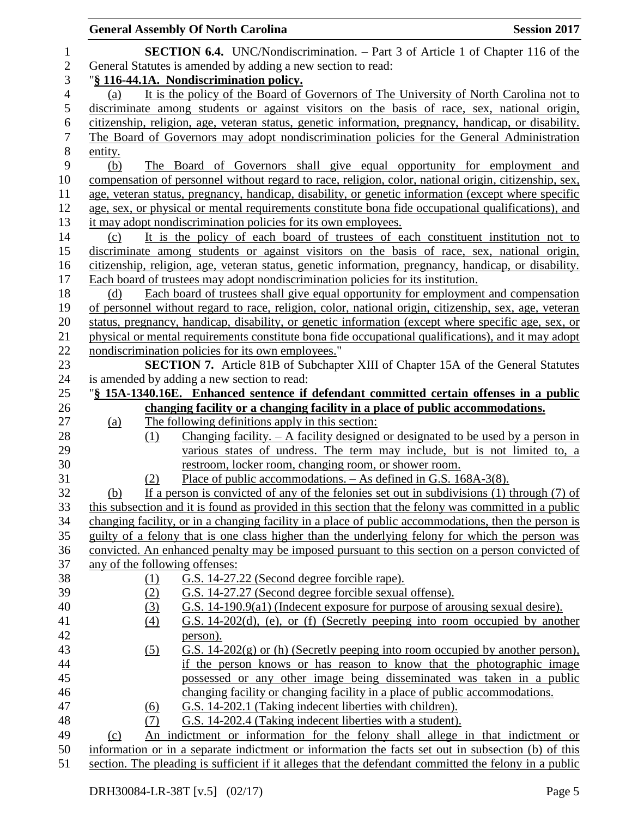|                          |                                | <b>General Assembly Of North Carolina</b><br><b>Session 2017</b>                                                                       |  |
|--------------------------|--------------------------------|----------------------------------------------------------------------------------------------------------------------------------------|--|
| $\mathbf{1}$             |                                | <b>SECTION 6.4.</b> UNC/Nondiscrimination. – Part 3 of Article 1 of Chapter 116 of the                                                 |  |
| $\overline{2}$           |                                | General Statutes is amended by adding a new section to read:                                                                           |  |
| 3                        |                                | "§ 116-44.1A. Nondiscrimination policy.                                                                                                |  |
| $\overline{\mathcal{L}}$ | (a)                            | It is the policy of the Board of Governors of The University of North Carolina not to                                                  |  |
| 5                        |                                | discriminate among students or against visitors on the basis of race, sex, national origin,                                            |  |
| 6                        |                                | citizenship, religion, age, veteran status, genetic information, pregnancy, handicap, or disability.                                   |  |
| $\boldsymbol{7}$         |                                | The Board of Governors may adopt nondiscrimination policies for the General Administration                                             |  |
| $8\,$                    | entity.                        |                                                                                                                                        |  |
| 9                        | (b)                            | The Board of Governors shall give equal opportunity for employment and                                                                 |  |
| 10                       |                                | compensation of personnel without regard to race, religion, color, national origin, citizenship, sex,                                  |  |
| 11                       |                                | age, veteran status, pregnancy, handicap, disability, or genetic information (except where specific                                    |  |
| 12                       |                                | age, sex, or physical or mental requirements constitute bona fide occupational qualifications), and                                    |  |
| 13                       |                                | it may adopt nondiscrimination policies for its own employees.                                                                         |  |
| 14                       | (c)                            | It is the policy of each board of trustees of each constituent institution not to                                                      |  |
| 15                       |                                | discriminate among students or against visitors on the basis of race, sex, national origin,                                            |  |
| 16                       |                                | citizenship, religion, age, veteran status, genetic information, pregnancy, handicap, or disability.                                   |  |
| 17                       |                                | Each board of trustees may adopt nondiscrimination policies for its institution.                                                       |  |
| 18                       | (d)                            | Each board of trustees shall give equal opportunity for employment and compensation                                                    |  |
| 19                       |                                | of personnel without regard to race, religion, color, national origin, citizenship, sex, age, veteran                                  |  |
| 20                       |                                | status, pregnancy, handicap, disability, or genetic information (except where specific age, sex, or                                    |  |
| 21                       |                                | physical or mental requirements constitute bona fide occupational qualifications), and it may adopt                                    |  |
| 22                       |                                | nondiscrimination policies for its own employees."                                                                                     |  |
| 23                       |                                | SECTION 7. Article 81B of Subchapter XIII of Chapter 15A of the General Statutes                                                       |  |
| 24                       |                                | is amended by adding a new section to read:                                                                                            |  |
| 25                       |                                | "§ 15A-1340.16E. Enhanced sentence if defendant committed certain offenses in a public                                                 |  |
| 26<br>27                 |                                | changing facility or a changing facility in a place of public accommodations.                                                          |  |
| 28                       | <u>(a)</u><br>(1)              | The following definitions apply in this section:<br>Changing facility. $- A$ facility designed or designated to be used by a person in |  |
| 29                       |                                | various states of undress. The term may include, but is not limited to, a                                                              |  |
| 30                       |                                | restroom, locker room, changing room, or shower room.                                                                                  |  |
| 31                       | (2)                            | Place of public accommodations. – As defined in G.S. 168A-3(8).                                                                        |  |
| 32                       | (b)                            | If a person is convicted of any of the felonies set out in subdivisions $(1)$ through $(7)$ of                                         |  |
| 33                       |                                | this subsection and it is found as provided in this section that the felony was committed in a public                                  |  |
| 34                       |                                | changing facility, or in a changing facility in a place of public accommodations, then the person is                                   |  |
| 35                       |                                | guilty of a felony that is one class higher than the underlying felony for which the person was                                        |  |
| 36                       |                                | convicted. An enhanced penalty may be imposed pursuant to this section on a person convicted of                                        |  |
| 37                       | any of the following offenses: |                                                                                                                                        |  |
| 38                       | (1)                            | G.S. 14-27.22 (Second degree forcible rape).                                                                                           |  |
| 39                       | (2)                            | G.S. 14-27.27 (Second degree forcible sexual offense).                                                                                 |  |
| 40                       | (3)                            | G.S. 14-190.9(a1) (Indecent exposure for purpose of arousing sexual desire).                                                           |  |
| 41                       | $\left(4\right)$               | G.S. 14-202(d), (e), or (f) (Secretly peeping into room occupied by another                                                            |  |
| 42                       |                                | person).                                                                                                                               |  |
| 43                       | $\left( 5\right)$              | G.S. 14-202 $(g)$ or (h) (Secretly peeping into room occupied by another person),                                                      |  |
| 44                       |                                | if the person knows or has reason to know that the photographic image                                                                  |  |
| 45                       |                                | possessed or any other image being disseminated was taken in a public                                                                  |  |
| 46                       |                                | changing facility or changing facility in a place of public accommodations.                                                            |  |
| 47                       | <u>(6)</u>                     | G.S. 14-202.1 (Taking indecent liberties with children).                                                                               |  |
| 48                       | (7)                            | G.S. 14-202.4 (Taking indecent liberties with a student).                                                                              |  |
| 49                       | (c)                            | An indictment or information for the felony shall allege in that indictment or                                                         |  |
| 50                       |                                | information or in a separate indictment or information the facts set out in subsection (b) of this                                     |  |
| 51                       |                                | section. The pleading is sufficient if it alleges that the defendant committed the felony in a public                                  |  |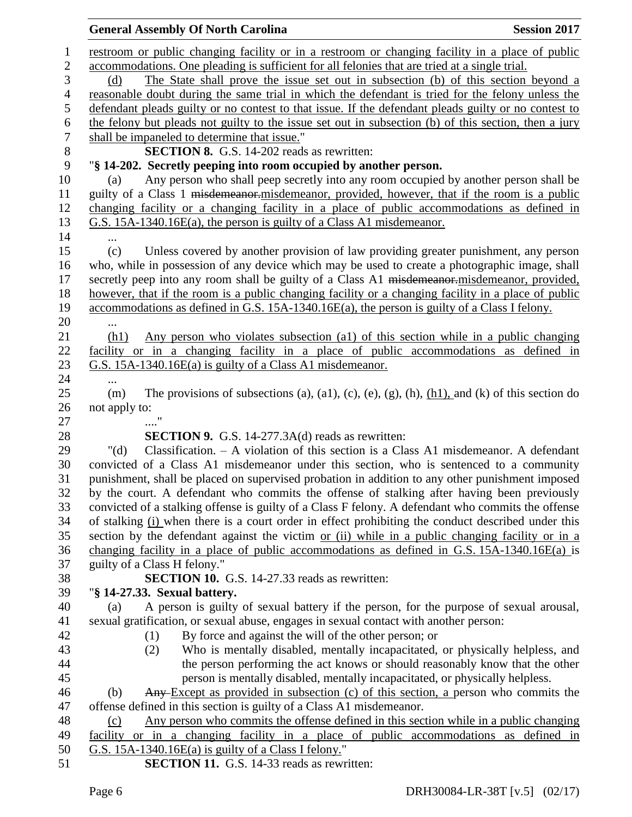|                | <b>General Assembly Of North Carolina</b>                                                                                                                                                                | <b>Session 2017</b> |
|----------------|----------------------------------------------------------------------------------------------------------------------------------------------------------------------------------------------------------|---------------------|
| $\mathbf{1}$   | restroom or public changing facility or in a restroom or changing facility in a place of public                                                                                                          |                     |
| $\sqrt{2}$     | accommodations. One pleading is sufficient for all felonies that are tried at a single trial.                                                                                                            |                     |
| 3              | The State shall prove the issue set out in subsection (b) of this section beyond a<br>(d)                                                                                                                |                     |
| $\overline{4}$ | reasonable doubt during the same trial in which the defendant is tried for the felony unless the                                                                                                         |                     |
| 5              | defendant pleads guilty or no contest to that issue. If the defendant pleads guilty or no contest to                                                                                                     |                     |
| 6              | the felony but pleads not guilty to the issue set out in subsection (b) of this section, then a jury                                                                                                     |                     |
| $\tau$         | shall be impaneled to determine that issue."                                                                                                                                                             |                     |
| $8\,$          | <b>SECTION 8.</b> G.S. 14-202 reads as rewritten:                                                                                                                                                        |                     |
| 9              | "§ 14-202. Secretly peeping into room occupied by another person.                                                                                                                                        |                     |
| 10             | Any person who shall peep secretly into any room occupied by another person shall be<br>(a)                                                                                                              |                     |
| 11             | guilty of a Class 1 misdemeanor.misdemeanor, provided, however, that if the room is a public                                                                                                             |                     |
| 12             | changing facility or a changing facility in a place of public accommodations as defined in                                                                                                               |                     |
| 13             | G.S. 15A-1340.16E(a), the person is guilty of a Class A1 misdemeanor.                                                                                                                                    |                     |
| 14             |                                                                                                                                                                                                          |                     |
| 15<br>16       | Unless covered by another provision of law providing greater punishment, any person<br>(c)<br>who, while in possession of any device which may be used to create a photographic image, shall             |                     |
| 17             | secretly peep into any room shall be guilty of a Class A1 misdemeanor.misdemeanor, provided,                                                                                                             |                     |
| 18             | however, that if the room is a public changing facility or a changing facility in a place of public                                                                                                      |                     |
| 19             | accommodations as defined in G.S. 15A-1340.16E(a), the person is guilty of a Class I felony.                                                                                                             |                     |
| 20             |                                                                                                                                                                                                          |                     |
| 21             | Any person who violates subsection (a1) of this section while in a public changing<br>(h1)                                                                                                               |                     |
| 22             | facility or in a changing facility in a place of public accommodations as defined in                                                                                                                     |                     |
| 23             | G.S. 15A-1340.16E(a) is guilty of a Class A1 misdemeanor.                                                                                                                                                |                     |
| 24             | $\cdots$                                                                                                                                                                                                 |                     |
| 25             | The provisions of subsections (a), (a1), (c), (e), (g), (h), $(h1)$ , and (k) of this section do<br>(m)                                                                                                  |                     |
| 26             | not apply to:                                                                                                                                                                                            |                     |
| 27             |                                                                                                                                                                                                          |                     |
| 28             | <b>SECTION 9.</b> G.S. 14-277.3A(d) reads as rewritten:                                                                                                                                                  |                     |
| 29             | Classification. - A violation of this section is a Class A1 misdemeanor. A defendant<br>" $(d)$                                                                                                          |                     |
| 30             | convicted of a Class A1 misdemeanor under this section, who is sentenced to a community                                                                                                                  |                     |
| 31             | punishment, shall be placed on supervised probation in addition to any other punishment imposed                                                                                                          |                     |
| 32             | by the court. A defendant who commits the offense of stalking after having been previously                                                                                                               |                     |
| 33<br>34       | convicted of a stalking offense is guilty of a Class F felony. A defendant who commits the offense<br>of stalking (i) when there is a court order in effect prohibiting the conduct described under this |                     |
| 35             | section by the defendant against the victim or (ii) while in a public changing facility or in a                                                                                                          |                     |
| 36             | changing facility in a place of public accommodations as defined in G.S. $15A-1340.16E(a)$ is                                                                                                            |                     |
| 37             | guilty of a Class H felony."                                                                                                                                                                             |                     |
| 38             | SECTION 10. G.S. 14-27.33 reads as rewritten:                                                                                                                                                            |                     |
| 39             | "§ 14-27.33. Sexual battery.                                                                                                                                                                             |                     |
| 40             | A person is guilty of sexual battery if the person, for the purpose of sexual arousal,<br>(a)                                                                                                            |                     |
| 41             | sexual gratification, or sexual abuse, engages in sexual contact with another person:                                                                                                                    |                     |
| 42             | By force and against the will of the other person; or<br>(1)                                                                                                                                             |                     |
| 43             | Who is mentally disabled, mentally incapacitated, or physically helpless, and<br>(2)                                                                                                                     |                     |
| 44             | the person performing the act knows or should reasonably know that the other                                                                                                                             |                     |
| 45             | person is mentally disabled, mentally incapacitated, or physically helpless.                                                                                                                             |                     |
| 46             | Any Except as provided in subsection (c) of this section, a person who commits the<br>(b)                                                                                                                |                     |
| 47             | offense defined in this section is guilty of a Class A1 misdemeanor.                                                                                                                                     |                     |
| 48             | Any person who commits the offense defined in this section while in a public changing<br>(c)                                                                                                             |                     |
| 49             | facility or in a changing facility in a place of public accommodations as defined in                                                                                                                     |                     |
| 50             | G.S. 15A-1340.16E(a) is guilty of a Class I felony."                                                                                                                                                     |                     |
| 51             | SECTION 11. G.S. 14-33 reads as rewritten:                                                                                                                                                               |                     |